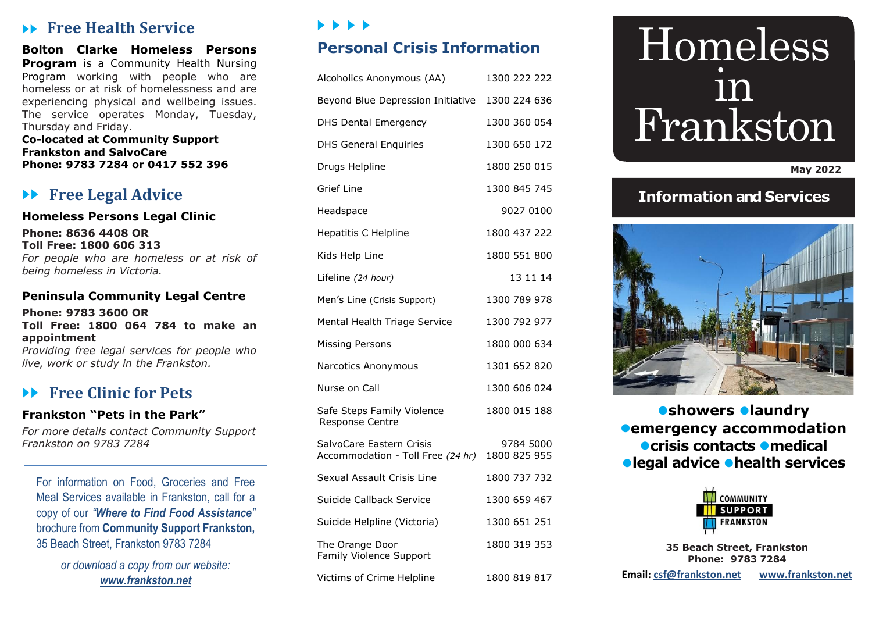## **Free Health Service**

**Bolton Clarke Homeless Persons Program** is a Community Health Nursing Program working with people who are homeless or at risk of homelessness and are experiencing physical and wellbeing issues. The service operates Monday, Tuesday, Thursday and Friday.

**Co-located at Community Support Frankston and SalvoCare Phone: 9783 7284 or 0417 552 396**

# **Free Legal Advice**

## **Homeless Persons Legal Clinic**

**Phone: 8636 4408 OR Toll Free: 1800 606 313** *For people who are homeless or at risk of being homeless in Victoria.* 

#### **Peninsula Community Legal Centre**

#### **Phone: 9783 3600 OR Toll Free: 1800 064 784 to make an appointment**

*Providing free legal services for people who live, work or study in the Frankston.*

## **Free Clinic for Pets**

## **Frankston "Pets in the Park"**

*For more details contact Community Support Frankston on 9783 7284*

For information on Food, Groceries and Free Meal Services available in Frankston, call for a copy of our *"Where to Find Food Assistance"* brochure from **Community Support Frankston,**  35 Beach Street, Frankston 9783 7284

> *or download a copy from our website: [www.frankston.net](http://www.frankston.net/)*

## P P P P

# **Personal Crisis Information**

| Alcoholics Anonymous (AA)                                     | 1300 222 222              |
|---------------------------------------------------------------|---------------------------|
| Beyond Blue Depression Initiative                             | 1300 224 636              |
| <b>DHS Dental Emergency</b>                                   | 1300 360 054              |
| <b>DHS General Enquiries</b>                                  | 1300 650 172              |
| Drugs Helpline                                                | 1800 250 015              |
| Grief Line                                                    | 1300 845 745              |
| Headspace                                                     | 9027 0100                 |
| Hepatitis C Helpline                                          | 1800 437 222              |
| Kids Help Line                                                | 1800 551 800              |
| Lifeline (24 hour)                                            | 13 11 14                  |
| Men's Line (Crisis Support)                                   | 1300 789 978              |
| Mental Health Triage Service                                  | 1300 792 977              |
| Missing Persons                                               | 1800 000 634              |
| Narcotics Anonymous                                           | 1301 652 820              |
| Nurse on Call                                                 | 1300 606 024              |
| Safe Steps Family Violence<br>Response Centre                 | 1800 015 188              |
| SalvoCare Eastern Crisis<br>Accommodation - Toll Free (24 hr) | 9784 5000<br>1800 825 955 |
| Sexual Assault Crisis Line                                    | 1800 737 732              |
| Suicide Callback Service                                      | 1300 659 467              |
| Suicide Helpline (Victoria)                                   | 1300 651 251              |
| The Orange Door<br>Family Violence Support                    | 1800 319 353              |
| Victims of Crime Helpline                                     | 1800 819 817              |

# Homeless in Frankston

#### **May 2022**

## **Information and Services**



**showers laundry emergency accommodation crisis contacts medical legal advice health services**



**35 Beach Street, Frankston Phone: 9783 7284**

**Email: [csf@frankston.net](mailto:csf@frankston.net) [www.frankston.net](http://www.frankston.net/)**